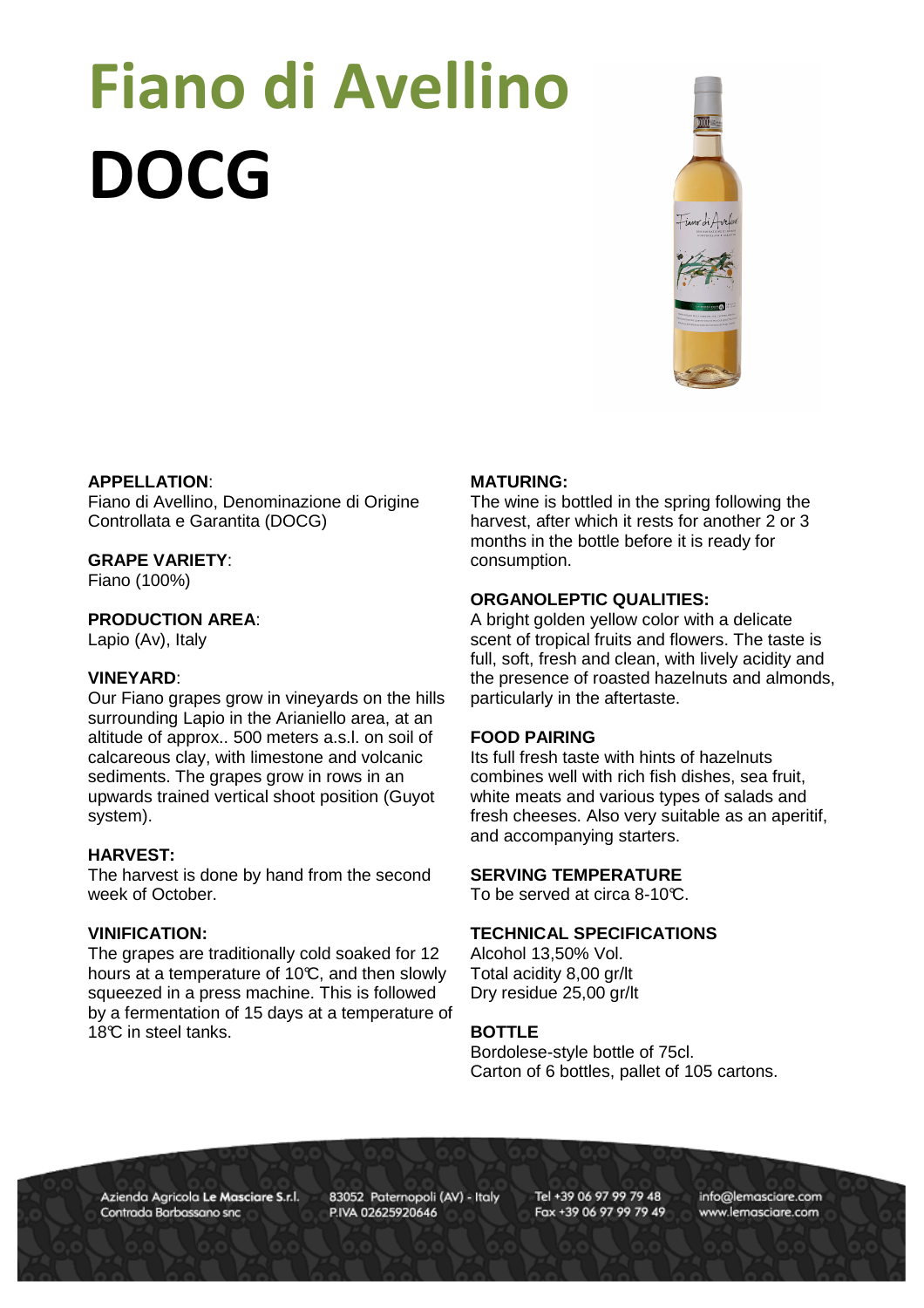# Fiano di Avellino DOCG



#### **APPELLATION**:

Fiano di Avellino, Denominazione di Origine Controllata e Garantita (DOCG)

# **GRAPE VARIETY**:

Fiano (100%)

# **PRODUCTION AREA**:

Lapio (Av), Italy

## **VINEYARD**:

Our Fiano grapes grow in vineyards on the hills surrounding Lapio in the Arianiello area, at an altitude of approx.. 500 meters a.s.l. on soil of calcareous clay, with limestone and volcanic sediments. The grapes grow in rows in an upwards trained vertical shoot position (Guyot system).

# **HARVEST:**

The harvest is done by hand from the second week of October.

# **VINIFICATION:**

The grapes are traditionally cold soaked for 12 hours at a temperature of 10 $\mathbb{C}$ , and then slowly squeezed in a press machine. This is followed by a fermentation of 15 days at a temperature of 18°C in steel tanks.

## **MATURING:**

The wine is bottled in the spring following the harvest, after which it rests for another 2 or 3 months in the bottle before it is ready for consumption.

# **ORGANOLEPTIC QUALITIES:**

A bright golden yellow color with a delicate scent of tropical fruits and flowers. The taste is full, soft, fresh and clean, with lively acidity and the presence of roasted hazelnuts and almonds, particularly in the aftertaste.

#### **FOOD PAIRING**

Its full fresh taste with hints of hazelnuts combines well with rich fish dishes, sea fruit, white meats and various types of salads and fresh cheeses. Also very suitable as an aperitif, and accompanying starters.

# **SERVING TEMPERATURE**

To be served at circa 8-10°C.

### **TECHNICAL SPECIFICATIONS**

Alcohol 13,50% Vol. Total acidity 8,00 gr/lt Dry residue 25,00 gr/lt

# **BOTTLE**

Bordolese-style bottle of 75cl. Carton of 6 bottles, pallet of 105 cartons.

Azienda Agricola Le Masciare S.r.l. Contrada Barbassano snc

83052 Paternopoli (AV) - Italy P.IVA 02625920646

Tel +39 06 97 99 79 48 Fax +39 06 97 99 79 49 info@lemasciare.com www.lemasciare.com